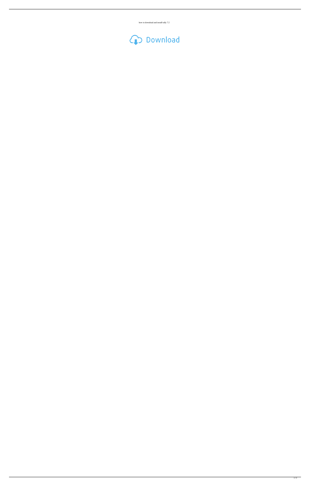how to download and install tally 7.2